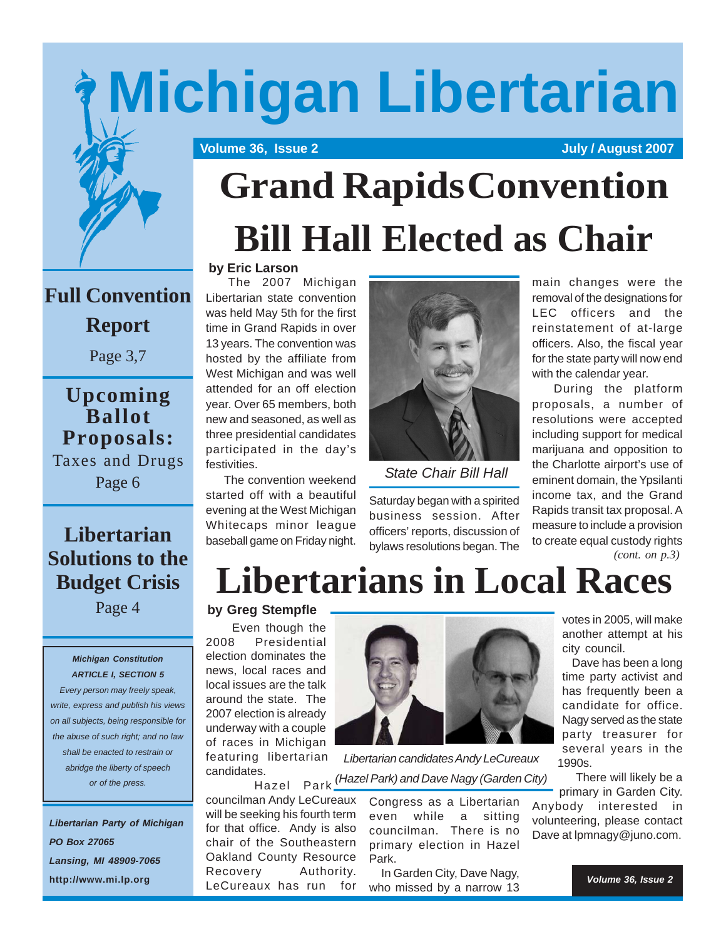# **Michigan Libertarian**

 **Volume 36, Issue 2 July / August 2007** 



# **Grand RapidsConvention Bill Hall Elected as Chair**

## **Full Convention**

**Report**

Page 3,7

**Upcoming Ballot Proposals:** Taxes and Drugs

Page 6

### **Libertarian Solutions to the Budget Crisis**

Page 4

#### *Michigan Constitution ARTICLE I, SECTION 5*

*Every person may freely speak, write, express and publish his views on all subjects, being responsible for the abuse of such right; and no law shall be enacted to restrain or abridge the liberty of speech or of the press.*

*Libertarian Party of Michigan PO Box 27065 Lansing, MI 48909-7065* **http://www.mi.lp.org**

#### **by Eric Larson**

 The 2007 Michigan Libertarian state convention was held May 5th for the first time in Grand Rapids in over 13 years. The convention was hosted by the affiliate from West Michigan and was well attended for an off election year. Over 65 members, both new and seasoned, as well as three presidential candidates participated in the day's festivities. .

 The convention weekend started off with a beautiful evening at the West Michigan Whitecaps minor league baseball game on Friday night.



 *State Chair Bill Hall*

Saturday began with a spirited business session. After officers' reports, discussion of bylaws resolutions began. The main changes were the removal of the designations for LEC officers and the reinstatement of at-large officers. Also, the fiscal year for the state party will now end with the calendar year.

 During the platform proposals, a number of resolutions were accepted including support for medical marijuana and opposition to the Charlotte airport's use of eminent domain, the Ypsilanti income tax, and the Grand Rapids transit tax proposal. A measure to include a provision to create equal custody rights *(cont. on p.3)*

## **Libertarians in Local Races**

#### **by Greg Stempfle**

 Even though the 2008 Presidential election dominates the news, local races and local issues are the talk around the state. The 2007 election is already underway with a couple of races in Michigan featuring libertarian candidates.

Hazel Park

councilman Andy LeCureaux will be seeking his fourth term for that office. Andy is also chair of the Southeastern Oakland County Resource Recovery Authority. LeCureaux has run for



*Libertarian candidates Andy LeCureaux (Hazel Park) and Dave Nagy (Garden City)*

> Congress as a Libertarian even while a sitting councilman. There is no primary election in Hazel Park.

 In Garden City, Dave Nagy, who missed by a narrow 13 votes in 2005, will make another attempt at his city council.

 Dave has been a long time party activist and has frequently been a candidate for office. Nagy served as the state party treasurer for several years in the 1990s.

 There will likely be a primary in Garden City.

Anybody interested in volunteering, please contact Dave at lpmnagy@juno.com.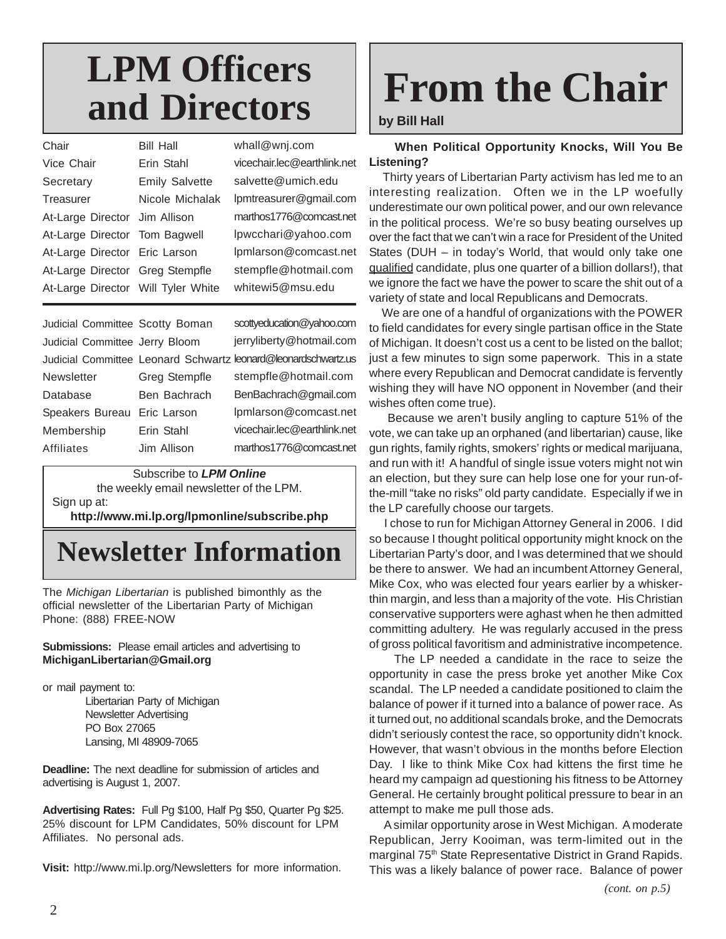## **LPM Officers and Directors**

| Chair                              | Bill Hall             | whall@wnj.com               |
|------------------------------------|-----------------------|-----------------------------|
| Vice Chair                         | Erin Stahl            | vicechair.lec@earthlink.net |
| Secretary                          | <b>Emily Salvette</b> | salvette@umich.edu          |
| Treasurer                          | Nicole Michalak       | lpmtreasurer@gmail.com      |
| At-Large Director Jim Allison      |                       | marthos1776@comcast.net     |
| At-Large Director Tom Bagwell      |                       | lpwcchari@yahoo.com         |
| At-Large Director Eric Larson      |                       | lpmlarson@comcast.net       |
| At-Large Director Greg Stempfle    |                       | stempfle@hotmail.com        |
| At-Large Director Will Tyler White |                       | whitewi5@msu.edu            |
|                                    |                       |                             |

| Judicial Committee Scotty Boman |               | scottyeducation@yahoo.com                                      |
|---------------------------------|---------------|----------------------------------------------------------------|
| Judicial Committee Jerry Bloom  |               | jerryliberty@hotmail.com                                       |
|                                 |               | Judicial Committee Leonard Schwartz leonard@leonardschwartz.us |
| Newsletter                      | Greg Stempfle | stempfle@hotmail.com                                           |
| Database                        | Ben Bachrach  | BenBachrach@gmail.com                                          |
| Speakers Bureau                 | Eric Larson   | lpmlarson@comcast.net                                          |
| Membership                      | Erin Stahl    | vicechair.lec@earthlink.net                                    |
| Affiliates                      | Jim Allison   | marthos1776@comcast.net                                        |
|                                 |               |                                                                |

Subscribe to *LPM Online* the weekly email newsletter of the LPM. Sign up at:

**http://www.mi.lp.org/lpmonline/subscribe.php**

## **Newsletter Information**

The *Michigan Libertarian* is published bimonthly as the official newsletter of the Libertarian Party of Michigan Phone: (888) FREE-NOW

#### **Submissions:** Please email articles and advertising to **MichiganLibertarian@Gmail.org**

or mail payment to:

Libertarian Party of Michigan Newsletter Advertising PO Box 27065 Lansing, MI 48909-7065

**Deadline:** The next deadline for submission of articles and advertising is August 1, 2007.

**Advertising Rates:** Full Pg \$100, Half Pg \$50, Quarter Pg \$25. 25% discount for LPM Candidates, 50% discount for LPM Affiliates. No personal ads.

**Visit:** http://www.mi.lp.org/Newsletters for more information.

# **From the Chair**

#### **by Bill Hall**

 **When Political Opportunity Knocks, Will You Be Listening?**

 Thirty years of Libertarian Party activism has led me to an interesting realization. Often we in the LP woefully underestimate our own political power, and our own relevance in the political process. We're so busy beating ourselves up over the fact that we can't win a race for President of the United States (DUH – in today's World, that would only take one qualified candidate, plus one quarter of a billion dollars!), that we ignore the fact we have the power to scare the shit out of a variety of state and local Republicans and Democrats.

 We are one of a handful of organizations with the POWER to field candidates for every single partisan office in the State of Michigan. It doesn't cost us a cent to be listed on the ballot; just a few minutes to sign some paperwork. This in a state where every Republican and Democrat candidate is fervently wishing they will have NO opponent in November (and their wishes often come true).

 Because we aren't busily angling to capture 51% of the vote, we can take up an orphaned (and libertarian) cause, like gun rights, family rights, smokers' rights or medical marijuana, and run with it! A handful of single issue voters might not win an election, but they sure can help lose one for your run-ofthe-mill "take no risks" old party candidate. Especially if we in the LP carefully choose our targets.

 I chose to run for Michigan Attorney General in 2006. I did so because I thought political opportunity might knock on the Libertarian Party's door, and I was determined that we should be there to answer. We had an incumbent Attorney General, Mike Cox, who was elected four years earlier by a whiskerthin margin, and less than a majority of the vote. His Christian conservative supporters were aghast when he then admitted committing adultery. He was regularly accused in the press of gross political favoritism and administrative incompetence.

 The LP needed a candidate in the race to seize the opportunity in case the press broke yet another Mike Cox scandal. The LP needed a candidate positioned to claim the balance of power if it turned into a balance of power race. As it turned out, no additional scandals broke, and the Democrats didn't seriously contest the race, so opportunity didn't knock. However, that wasn't obvious in the months before Election Day. I like to think Mike Cox had kittens the first time he heard my campaign ad questioning his fitness to be Attorney General. He certainly brought political pressure to bear in an attempt to make me pull those ads.

 A similar opportunity arose in West Michigan. A moderate Republican, Jerry Kooiman, was term-limited out in the marginal 75<sup>th</sup> State Representative District in Grand Rapids. This was a likely balance of power race. Balance of power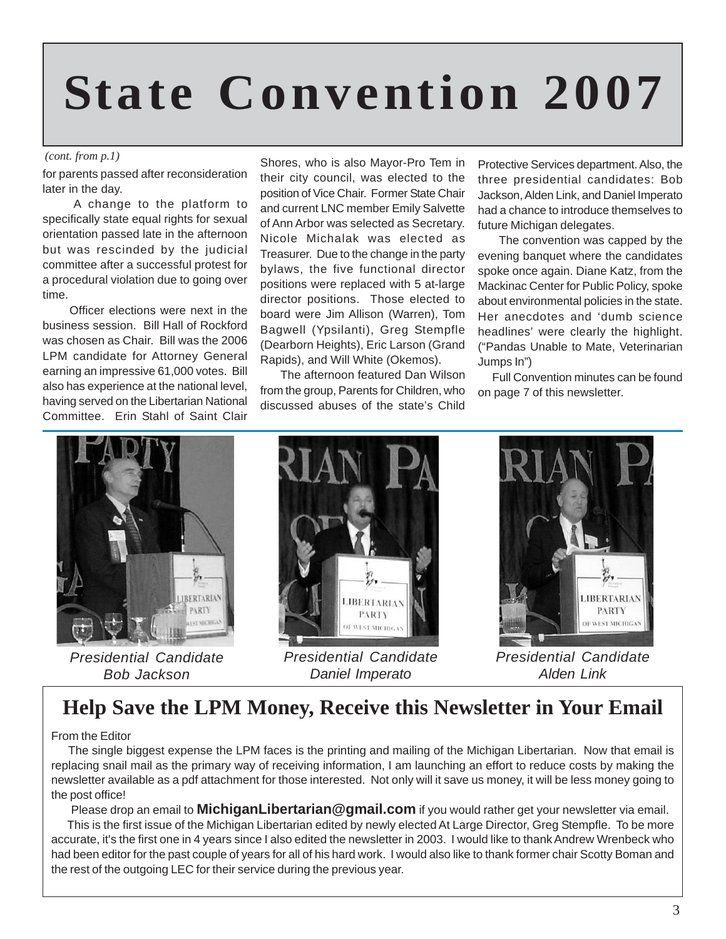# **State Convention 2007**

#### *(cont. from p.1)*

for parents passed after reconsideration later in the day.

 A change to the platform to specifically state equal rights for sexual orientation passed late in the afternoon but was rescinded by the judicial committee after a successful protest for a procedural violation due to going over time.

 Officer elections were next in the business session. Bill Hall of Rockford was chosen as Chair. Bill was the 2006 LPM candidate for Attorney General earning an impressive 61,000 votes. Bill also has experience at the national level, having served on the Libertarian National Committee. Erin Stahl of Saint Clair

Shores, who is also Mayor-Pro Tem in their city council, was elected to the position of Vice Chair. Former State Chair and current LNC member Emily Salvette of Ann Arbor was selected as Secretary. Nicole Michalak was elected as Treasurer. Due to the change in the party bylaws, the five functional director positions were replaced with 5 at-large director positions. Those elected to board were Jim Allison (Warren), Tom Bagwell (Ypsilanti), Greg Stempfle (Dearborn Heights), Eric Larson (Grand Rapids), and Will White (Okemos).

 The afternoon featured Dan Wilson from the group, Parents for Children, who discussed abuses of the state's Child

Protective Services department. Also, the three presidential candidates: Bob Jackson, Alden Link, and Daniel Imperato had a chance to introduce themselves to future Michigan delegates.

 The convention was capped by the evening banquet where the candidates spoke once again. Diane Katz, from the Mackinac Center for Public Policy, spoke about environmental policies in the state. Her anecdotes and 'dumb science headlines' were clearly the highlight. ("Pandas Unable to Mate, Veterinarian Jumps In")

 Full Convention minutes can be found on page 7 of this newsletter.



*Presidential Candidate Bob Jackson*



*Presidential Candidate Daniel Imperato*



*Presidential Candidate Alden Link*

### **Help Save the LPM Money, Receive this Newsletter in Your Email**

#### From the Editor

 The single biggest expense the LPM faces is the printing and mailing of the Michigan Libertarian. Now that email is replacing snail mail as the primary way of receiving information, I am launching an effort to reduce costs by making the newsletter available as a pdf attachment for those interested. Not only will it save us money, it will be less money going to the post office!

 Please drop an email to **MichiganLibertarian@gmail.com** if you would rather get your newsletter via email. This is the first issue of the Michigan Libertarian edited by newly elected At Large Director, Greg Stempfle. To be more accurate, it's the first one in 4 years since I also edited the newsletter in 2003. I would like to thank Andrew Wrenbeck who had been editor for the past couple of years for all of his hard work. I would also like to thank former chair Scotty Boman and the rest of the outgoing LEC for their service during the previous year.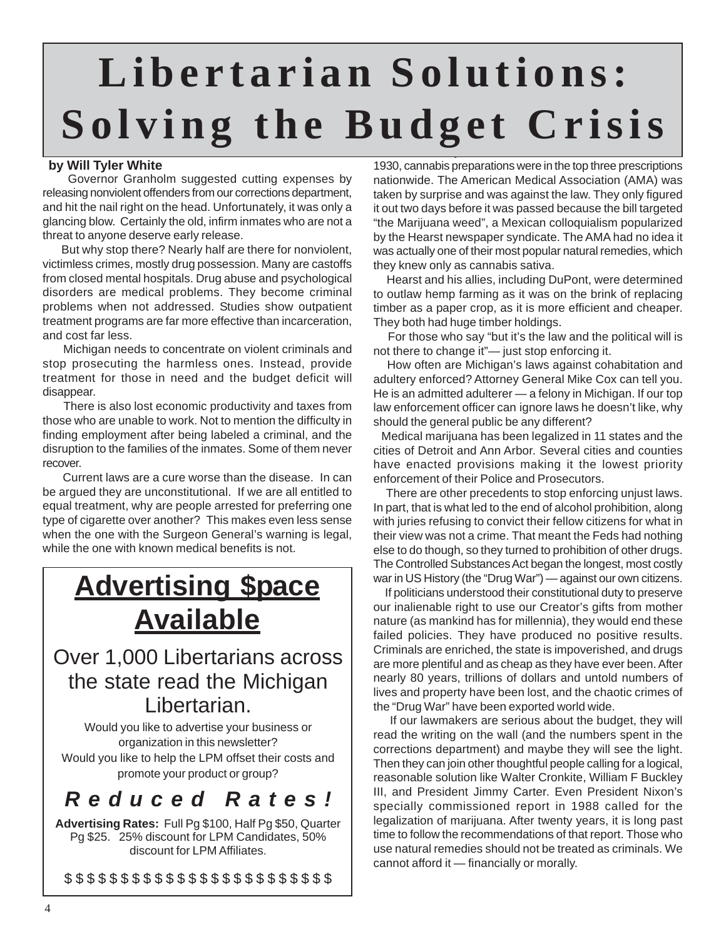## A little history: Prior to the Controlled Substances Act of **Libertarian Solutions: Solving the Budget Crisis**

#### **by Will Tyler White**

 Governor Granholm suggested cutting expenses by releasing nonviolent offenders from our corrections department, and hit the nail right on the head. Unfortunately, it was only a glancing blow. Certainly the old, infirm inmates who are not a threat to anyone deserve early release.

 But why stop there? Nearly half are there for nonviolent, victimless crimes, mostly drug possession. Many are castoffs from closed mental hospitals. Drug abuse and psychological disorders are medical problems. They become criminal problems when not addressed. Studies show outpatient treatment programs are far more effective than incarceration, and cost far less.

 Michigan needs to concentrate on violent criminals and stop prosecuting the harmless ones. Instead, provide treatment for those in need and the budget deficit will disappear.

 There is also lost economic productivity and taxes from those who are unable to work. Not to mention the difficulty in finding employment after being labeled a criminal, and the disruption to the families of the inmates. Some of them never recover.

 Current laws are a cure worse than the disease. In can be argued they are unconstitutional. If we are all entitled to equal treatment, why are people arrested for preferring one type of cigarette over another? This makes even less sense when the one with the Surgeon General's warning is legal, while the one with known medical benefits is not.

## **Advertising \$pace Available**

### Over 1,000 Libertarians across the state read the Michigan Libertarian.

Would you like to advertise your business or organization in this newsletter? Would you like to help the LPM offset their costs and promote your product or group?

## *Reduced Rates!*

**Advertising Rates:** Full Pg \$100, Half Pg \$50, Quarter Pg \$25. 25% discount for LPM Candidates, 50% discount for LPM Affiliates.

\$\$\$\$\$\$\$\$\$\$\$\$\$\$\$\$\$\$\$\$\$\$\$\$

1930, cannabis preparations were in the top three prescriptions nationwide. The American Medical Association (AMA) was taken by surprise and was against the law. They only figured it out two days before it was passed because the bill targeted "the Marijuana weed", a Mexican colloquialism popularized by the Hearst newspaper syndicate. The AMA had no idea it was actually one of their most popular natural remedies, which they knew only as cannabis sativa.

 Hearst and his allies, including DuPont, were determined to outlaw hemp farming as it was on the brink of replacing timber as a paper crop, as it is more efficient and cheaper. They both had huge timber holdings.

 For those who say "but it's the law and the political will is not there to change it"— just stop enforcing it.

 How often are Michigan's laws against cohabitation and adultery enforced? Attorney General Mike Cox can tell you. He is an admitted adulterer — a felony in Michigan. If our top law enforcement officer can ignore laws he doesn't like, why should the general public be any different?

 Medical marijuana has been legalized in 11 states and the cities of Detroit and Ann Arbor. Several cities and counties have enacted provisions making it the lowest priority enforcement of their Police and Prosecutors.

 There are other precedents to stop enforcing unjust laws. In part, that is what led to the end of alcohol prohibition, along with juries refusing to convict their fellow citizens for what in their view was not a crime. That meant the Feds had nothing else to do though, so they turned to prohibition of other drugs. The Controlled Substances Act began the longest, most costly war in US History (the "Drug War") — against our own citizens.

 If politicians understood their constitutional duty to preserve our inalienable right to use our Creator's gifts from mother nature (as mankind has for millennia), they would end these failed policies. They have produced no positive results. Criminals are enriched, the state is impoverished, and drugs are more plentiful and as cheap as they have ever been. After nearly 80 years, trillions of dollars and untold numbers of lives and property have been lost, and the chaotic crimes of the "Drug War" have been exported world wide.

 If our lawmakers are serious about the budget, they will read the writing on the wall (and the numbers spent in the corrections department) and maybe they will see the light. Then they can join other thoughtful people calling for a logical, reasonable solution like Walter Cronkite, William F Buckley III, and President Jimmy Carter. Even President Nixon's specially commissioned report in 1988 called for the legalization of marijuana. After twenty years, it is long past time to follow the recommendations of that report. Those who use natural remedies should not be treated as criminals. We cannot afford it — financially or morally.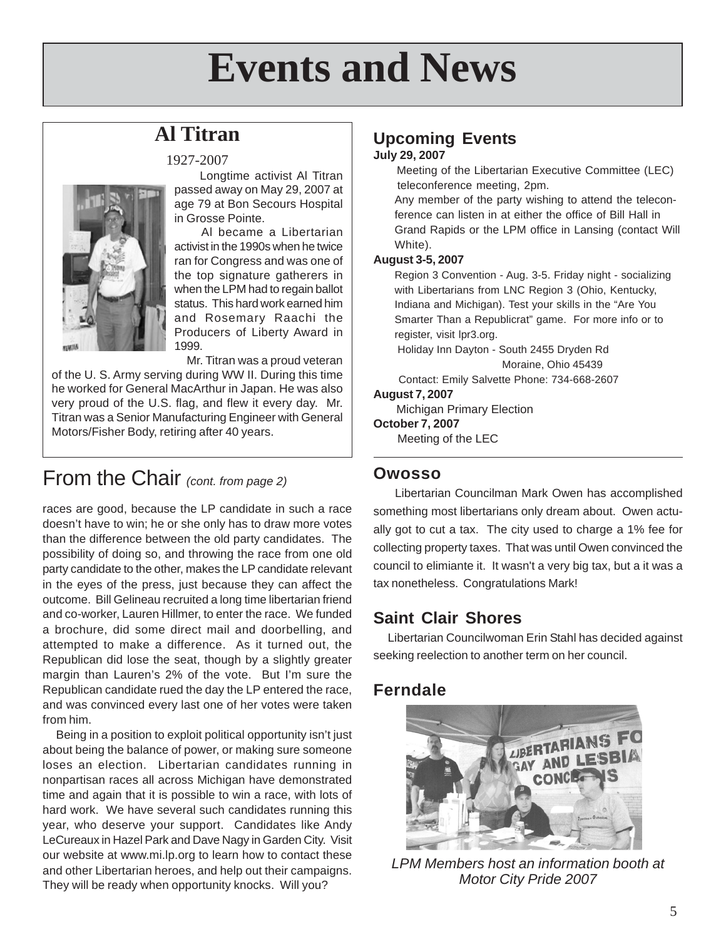## **Events and News**

## **Al Titran**



1927-2007

 Longtime activist Al Titran passed away on May 29, 2007 at age 79 at Bon Secours Hospital in Grosse Pointe.

 Al became a Libertarian activist in the 1990s when he twice ran for Congress and was one of the top signature gatherers in when the LPM had to regain ballot status. This hard work earned him and Rosemary Raachi the Producers of Liberty Award in 1999.

Mr. Titran was a proud veteran

of the U. S. Army serving during WW II. During this time he worked for General MacArthur in Japan. He was also very proud of the U.S. flag, and flew it every day. Mr. Titran was a Senior Manufacturing Engineer with General Motors/Fisher Body, retiring after 40 years.

## From the Chair *(cont. from page 2)*

races are good, because the LP candidate in such a race doesn't have to win; he or she only has to draw more votes than the difference between the old party candidates. The possibility of doing so, and throwing the race from one old party candidate to the other, makes the LP candidate relevant in the eyes of the press, just because they can affect the outcome. Bill Gelineau recruited a long time libertarian friend and co-worker, Lauren Hillmer, to enter the race. We funded a brochure, did some direct mail and doorbelling, and attempted to make a difference. As it turned out, the Republican did lose the seat, though by a slightly greater margin than Lauren's 2% of the vote. But I'm sure the Republican candidate rued the day the LP entered the race, and was convinced every last one of her votes were taken from him.

 Being in a position to exploit political opportunity isn't just about being the balance of power, or making sure someone loses an election. Libertarian candidates running in nonpartisan races all across Michigan have demonstrated time and again that it is possible to win a race, with lots of hard work. We have several such candidates running this year, who deserve your support. Candidates like Andy LeCureaux in Hazel Park and Dave Nagy in Garden City. Visit our website at www.mi.lp.org to learn how to contact these and other Libertarian heroes, and help out their campaigns. They will be ready when opportunity knocks. Will you?

#### **Upcoming Events July 29, 2007**

 Meeting of the Libertarian Executive Committee (LEC) teleconference meeting, 2pm.

Any member of the party wishing to attend the teleconference can listen in at either the office of Bill Hall in Grand Rapids or the LPM office in Lansing (contact Will White).

#### **August 3-5, 2007**

Region 3 Convention - Aug. 3-5. Friday night - socializing with Libertarians from LNC Region 3 (Ohio, Kentucky, Indiana and Michigan). Test your skills in the "Are You Smarter Than a Republicrat" game. For more info or to register, visit lpr3.org.

 Holiday Inn Dayton - South 2455 Dryden Rd Moraine, Ohio 45439

 Contact: Emily Salvette Phone: 734-668-2607 **August 7, 2007**

 Michigan Primary Election **October 7, 2007** Meeting of the LEC

#### **Owosso**

 Libertarian Councilman Mark Owen has accomplished something most libertarians only dream about. Owen actually got to cut a tax. The city used to charge a 1% fee for collecting property taxes. That was until Owen convinced the council to elimiante it. It wasn't a very big tax, but a it was a tax nonetheless. Congratulations Mark!

#### **Saint Clair Shores**

 Libertarian Councilwoman Erin Stahl has decided against seeking reelection to another term on her council.

#### **Ferndale**



*LPM Members host an information booth at Motor City Pride 2007*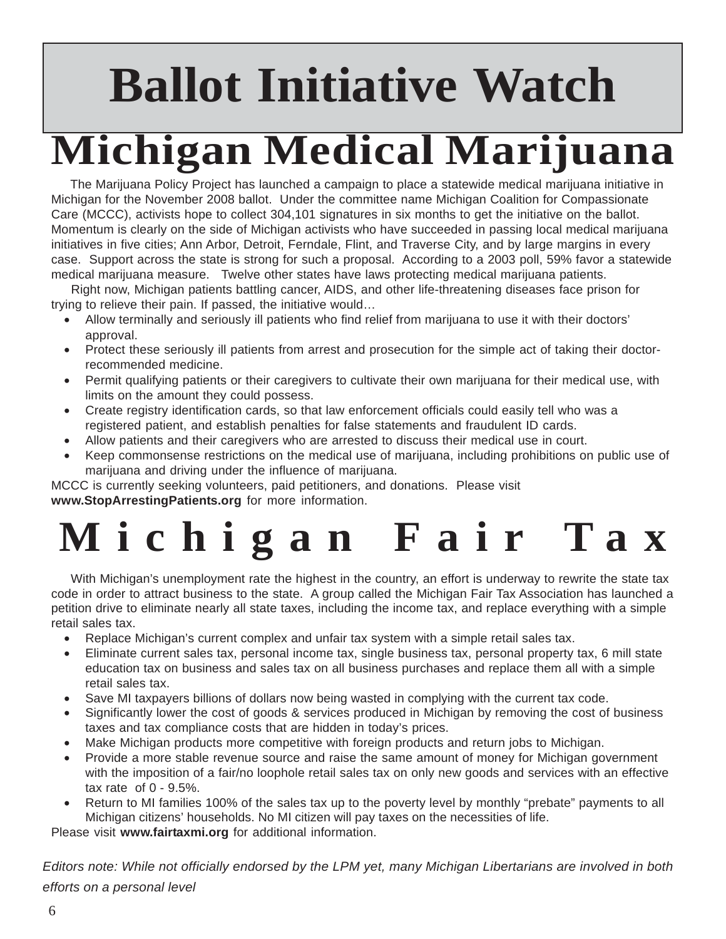# **Ballot Initiative Watch**

# **Michigan Medical Marijuana**

 The Marijuana Policy Project has launched a campaign to place a statewide medical marijuana initiative in Michigan for the November 2008 ballot. Under the committee name Michigan Coalition for Compassionate Care (MCCC), activists hope to collect 304,101 signatures in six months to get the initiative on the ballot. Momentum is clearly on the side of Michigan activists who have succeeded in passing local medical marijuana initiatives in five cities; Ann Arbor, Detroit, Ferndale, Flint, and Traverse City, and by large margins in every case. Support across the state is strong for such a proposal. According to a 2003 poll, 59% favor a statewide medical marijuana measure. Twelve other states have laws protecting medical marijuana patients.

 Right now, Michigan patients battling cancer, AIDS, and other life-threatening diseases face prison for trying to relieve their pain. If passed, the initiative would…

- Allow terminally and seriously ill patients who find relief from marijuana to use it with their doctors' approval.
- Protect these seriously ill patients from arrest and prosecution for the simple act of taking their doctorrecommended medicine.
- Permit qualifying patients or their caregivers to cultivate their own marijuana for their medical use, with limits on the amount they could possess.
- Create registry identification cards, so that law enforcement officials could easily tell who was a registered patient, and establish penalties for false statements and fraudulent ID cards.
- Allow patients and their caregivers who are arrested to discuss their medical use in court.
- Keep commonsense restrictions on the medical use of marijuana, including prohibitions on public use of marijuana and driving under the influence of marijuana.

MCCC is currently seeking volunteers, paid petitioners, and donations. Please visit **www.StopArrestingPatients.org** for more information.

# **Michigan Fair Tax**

 With Michigan's unemployment rate the highest in the country, an effort is underway to rewrite the state tax code in order to attract business to the state. A group called the Michigan Fair Tax Association has launched a petition drive to eliminate nearly all state taxes, including the income tax, and replace everything with a simple retail sales tax.

- Replace Michigan's current complex and unfair tax system with a simple retail sales tax.
- Eliminate current sales tax, personal income tax, single business tax, personal property tax, 6 mill state education tax on business and sales tax on all business purchases and replace them all with a simple retail sales tax.
- Save MI taxpayers billions of dollars now being wasted in complying with the current tax code.
- Significantly lower the cost of goods & services produced in Michigan by removing the cost of business taxes and tax compliance costs that are hidden in today's prices.
- Make Michigan products more competitive with foreign products and return jobs to Michigan.
- Provide a more stable revenue source and raise the same amount of money for Michigan government with the imposition of a fair/no loophole retail sales tax on only new goods and services with an effective tax rate of 0 - 9.5%.
- Return to MI families 100% of the sales tax up to the poverty level by monthly "prebate" payments to all Michigan citizens' households. No MI citizen will pay taxes on the necessities of life.

Please visit **www.fairtaxmi.org** for additional information.

*Editors note: While not officially endorsed by the LPM yet, many Michigan Libertarians are involved in both efforts on a personal level*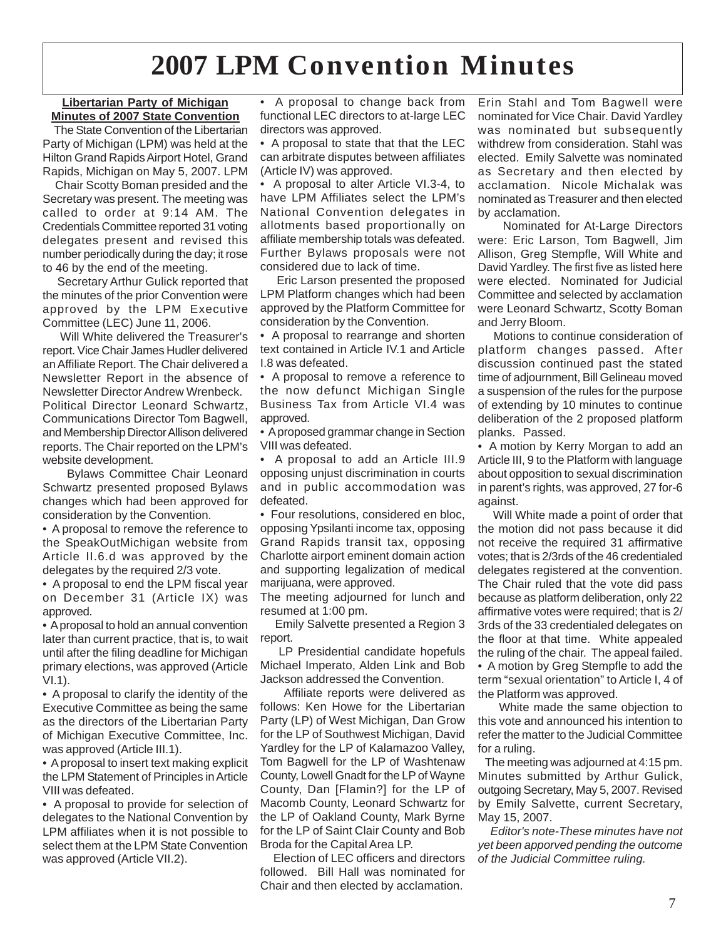## **2007 LPM Convention Minutes**

#### **Libertarian Party of Michigan Minutes of 2007 State Convention**

 The State Convention of the Libertarian Party of Michigan (LPM) was held at the Hilton Grand Rapids Airport Hotel, Grand Rapids, Michigan on May 5, 2007. LPM

 Chair Scotty Boman presided and the Secretary was present. The meeting was called to order at 9:14 AM. The Credentials Committee reported 31 voting delegates present and revised this number periodically during the day; it rose to 46 by the end of the meeting.

 Secretary Arthur Gulick reported that the minutes of the prior Convention were approved by the LPM Executive Committee (LEC) June 11, 2006.

 Will White delivered the Treasurer's report. Vice Chair James Hudler delivered an Affiliate Report. The Chair delivered a Newsletter Report in the absence of Newsletter Director Andrew Wrenbeck. Political Director Leonard Schwartz, Communications Director Tom Bagwell, and Membership Director Allison delivered reports. The Chair reported on the LPM's website development.

 Bylaws Committee Chair Leonard Schwartz presented proposed Bylaws changes which had been approved for consideration by the Convention.

• A proposal to remove the reference to the SpeakOutMichigan website from Article II.6.d was approved by the delegates by the required 2/3 vote.

• A proposal to end the LPM fiscal year on December 31 (Article IX) was approved.

• A proposal to hold an annual convention later than current practice, that is, to wait until after the filing deadline for Michigan primary elections, was approved (Article VI.1).

• A proposal to clarify the identity of the Executive Committee as being the same as the directors of the Libertarian Party of Michigan Executive Committee, Inc. was approved (Article III.1).

• A proposal to insert text making explicit the LPM Statement of Principles in Article VIII was defeated.

• A proposal to provide for selection of delegates to the National Convention by LPM affiliates when it is not possible to select them at the LPM State Convention was approved (Article VII.2).

• A proposal to change back from functional LEC directors to at-large LEC directors was approved.

• A proposal to state that that the LEC can arbitrate disputes between affiliates (Article IV) was approved.

• A proposal to alter Article VI.3-4, to have LPM Affiliates select the LPM's National Convention delegates in allotments based proportionally on affiliate membership totals was defeated. Further Bylaws proposals were not considered due to lack of time.

 Eric Larson presented the proposed LPM Platform changes which had been approved by the Platform Committee for consideration by the Convention.

• A proposal to rearrange and shorten text contained in Article IV.1 and Article I.8 was defeated.

• A proposal to remove a reference to the now defunct Michigan Single Business Tax from Article VI.4 was approved.

• A proposed grammar change in Section VIII was defeated.

• A proposal to add an Article III.9 opposing unjust discrimination in courts and in public accommodation was defeated.

• Four resolutions, considered en bloc, opposing Ypsilanti income tax, opposing Grand Rapids transit tax, opposing Charlotte airport eminent domain action and supporting legalization of medical marijuana, were approved.

The meeting adjourned for lunch and resumed at 1:00 pm.

 Emily Salvette presented a Region 3 report.

 LP Presidential candidate hopefuls Michael Imperato, Alden Link and Bob Jackson addressed the Convention.

 Affiliate reports were delivered as follows: Ken Howe for the Libertarian Party (LP) of West Michigan, Dan Grow for the LP of Southwest Michigan, David Yardley for the LP of Kalamazoo Valley, Tom Bagwell for the LP of Washtenaw County, Lowell Gnadt for the LP of Wayne County, Dan [Flamin?] for the LP of Macomb County, Leonard Schwartz for the LP of Oakland County, Mark Byrne for the LP of Saint Clair County and Bob Broda for the Capital Area LP.

 Election of LEC officers and directors followed. Bill Hall was nominated for Chair and then elected by acclamation.

Erin Stahl and Tom Bagwell were nominated for Vice Chair. David Yardley was nominated but subsequently withdrew from consideration. Stahl was elected. Emily Salvette was nominated as Secretary and then elected by acclamation. Nicole Michalak was nominated as Treasurer and then elected by acclamation.

 Nominated for At-Large Directors were: Eric Larson, Tom Bagwell, Jim Allison, Greg Stempfle, Will White and David Yardley. The first five as listed here were elected. Nominated for Judicial Committee and selected by acclamation were Leonard Schwartz, Scotty Boman and Jerry Bloom.

 Motions to continue consideration of platform changes passed. After discussion continued past the stated time of adjournment, Bill Gelineau moved a suspension of the rules for the purpose of extending by 10 minutes to continue deliberation of the 2 proposed platform planks. Passed.

• A motion by Kerry Morgan to add an Article III, 9 to the Platform with language about opposition to sexual discrimination in parent's rights, was approved, 27 for-6 against.

 Will White made a point of order that the motion did not pass because it did not receive the required 31 affirmative votes; that is 2/3rds of the 46 credentialed delegates registered at the convention. The Chair ruled that the vote did pass because as platform deliberation, only 22 affirmative votes were required; that is 2/ 3rds of the 33 credentialed delegates on the floor at that time. White appealed the ruling of the chair. The appeal failed. • A motion by Greg Stempfle to add the term "sexual orientation" to Article I, 4 of the Platform was approved.

 White made the same objection to this vote and announced his intention to refer the matter to the Judicial Committee for a ruling.

 The meeting was adjourned at 4:15 pm. Minutes submitted by Arthur Gulick, outgoing Secretary, May 5, 2007. Revised by Emily Salvette, current Secretary, May 15, 2007.

 *Editor's note-These minutes have not yet been apporved pending the outcome of the Judicial Committee ruling.*